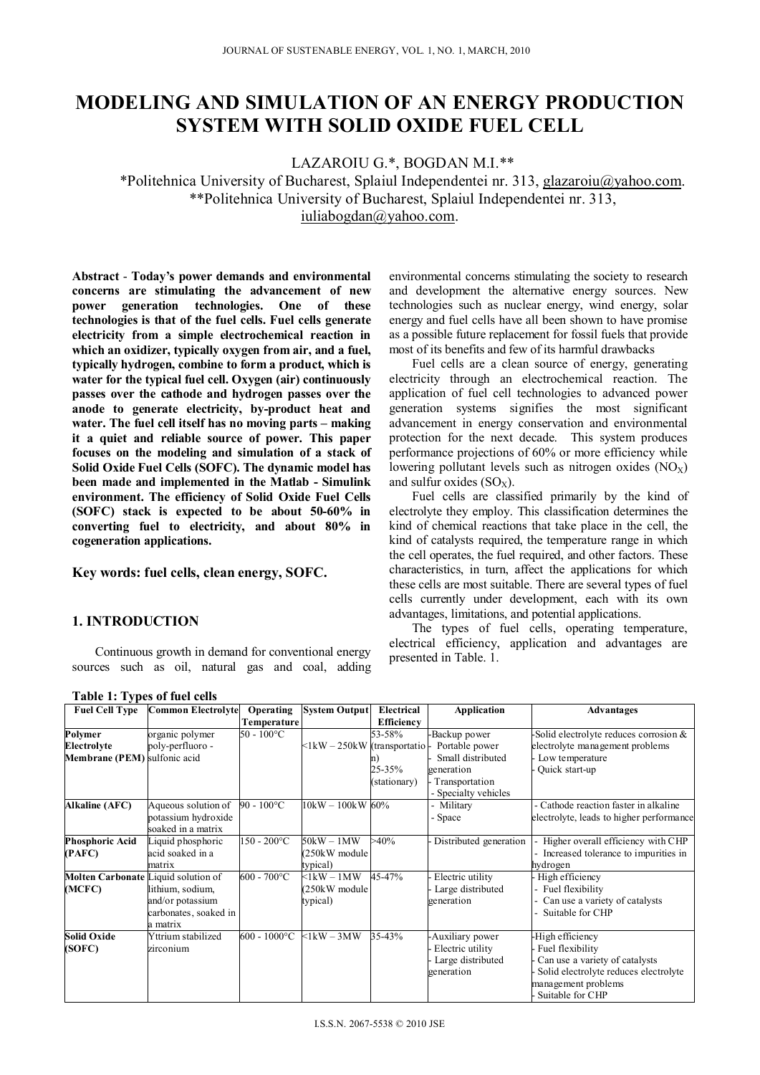# **MODELING AND SIMULATION OF AN ENERGY PRODUCTION SYSTEM WITH SOLID OXIDE FUEL CELL**

LAZAROIU G.\*, BOGDAN M.I.\*\*

\*Politehnica University of Bucharest, Splaiul Independentei nr. 313, glazaroiu@yahoo.com. \*\*Politehnica University of Bucharest, Splaiul Independentei nr. 313, iuliabogdan@yahoo.com.

**Abstract** - **Today's power demands and environmental concerns are stimulating the advancement of new power generation technologies. One of these technologies is that of the fuel cells. Fuel cells generate electricity from a simple electrochemical reaction in which an oxidizer, typically oxygen from air, and a fuel, typically hydrogen, combine to form a product, which is water for the typical fuel cell. Oxygen (air) continuously passes over the cathode and hydrogen passes over the anode to generate electricity, by-product heat and water. The fuel cell itself has no moving parts – making it a quiet and reliable source of power. This paper focuses on the modeling and simulation of a stack of Solid Oxide Fuel Cells (SOFC). The dynamic model has been made and implemented in the Matlab - Simulink environment. The efficiency of Solid Oxide Fuel Cells (SOFC) stack is expected to be about 50-60% in converting fuel to electricity, and about 80% in cogeneration applications.** 

# **Key words: fuel cells, clean energy, SOFC.**

# **1. INTRODUCTION**

Continuous growth in demand for conventional energy sources such as oil, natural gas and coal, adding

environmental concerns stimulating the society to research and development the alternative energy sources. New technologies such as nuclear energy, wind energy, solar energy and fuel cells have all been shown to have promise as a possible future replacement for fossil fuels that provide most of its benefits and few of its harmful drawbacks

Fuel cells are a clean source of energy, generating electricity through an electrochemical reaction. The application of fuel cell technologies to advanced power generation systems signifies the most significant advancement in energy conservation and environmental protection for the next decade. This system produces performance projections of 60% or more efficiency while lowering pollutant levels such as nitrogen oxides  $(NO<sub>X</sub>)$ and sulfur oxides  $(SO_X)$ .

Fuel cells are classified primarily by the kind of electrolyte they employ. This classification determines the kind of chemical reactions that take place in the cell, the kind of catalysts required, the temperature range in which the cell operates, the fuel required, and other factors. These characteristics, in turn, affect the applications for which these cells are most suitable. There are several types of fuel cells currently under development, each with its own advantages, limitations, and potential applications.

The types of fuel cells, operating temperature, electrical efficiency, application and advantages are presented in Table. 1.

| <b>Fuel Cell Type</b>                      | <b>Common Electrolyte</b> | Operating           | <b>System Output</b>         | Electrical   | <b>Application</b>     | Advantages                               |
|--------------------------------------------|---------------------------|---------------------|------------------------------|--------------|------------------------|------------------------------------------|
|                                            |                           | Temperature         |                              | Efficiency   |                        |                                          |
| Polymer                                    | organic polymer           | $50 - 100^{\circ}C$ |                              | 53-58%       | Backup power           | Solid electrolyte reduces corrosion &    |
| Electrolyte                                | poly-perfluoro -          |                     | <1kW - 250kW (transportatio) |              | Portable power         | electrolyte management problems          |
| Membrane (PEM) sulfonic acid               |                           |                     |                              | n١           | Small distributed      | Low temperature                          |
|                                            |                           |                     |                              | 25-35%       | generation             | Quick start-up                           |
|                                            |                           |                     |                              | (stationary) | Transportation         |                                          |
|                                            |                           |                     |                              |              | - Specialty vehicles   |                                          |
| <b>Alkaline (AFC)</b>                      | Aqueous solution of       | $90 - 100^{\circ}C$ | $10kW - 100kW$ 60%           |              | Military               | - Cathode reaction faster in alkaline    |
|                                            | potassium hydroxide       |                     |                              |              | - Space                | electrolyte, leads to higher performance |
|                                            | soaked in a matrix        |                     |                              |              |                        |                                          |
| <b>Phosphoric Acid</b>                     | Liquid phosphoric         | $150 - 200$ °C      | $50kW - 1MW$                 | $>40\%$      | Distributed generation | - Higher overall efficiency with CHP     |
| (PAFC)                                     | acid soaked in a          |                     | 250kW module                 |              |                        | - Increased tolerance to impurities in   |
|                                            | matrix                    |                     | typical)                     |              |                        | hydrogen                                 |
| <b>Molten Carbonate Liquid solution of</b> |                           | $600 - 700$ °C      | $\leq$ lkW – 1MW             | 45-47%       | Electric utility       | High efficiency                          |
| (MCFC)                                     | lithium, sodium,          |                     | 250kW module                 |              | Large distributed      | - Fuel flexibility                       |
|                                            | and/or potassium          |                     | typical)                     |              | generation             | Can use a variety of catalysts           |
|                                            | carbonates, soaked in     |                     |                              |              |                        | Suitable for CHP                         |
|                                            | a matrix                  |                     |                              |              |                        |                                          |
| <b>Solid Oxide</b>                         | Yttrium stabilized        | $600 - 1000$ °C     | $\leq$ lkW – 3MW             | 35-43%       | -Auxiliary power       | -High efficiency                         |
| (SOFC)                                     | zirconium                 |                     |                              |              | Electric utility       | Fuel flexibility                         |
|                                            |                           |                     |                              |              | Large distributed      | Can use a variety of catalysts           |
|                                            |                           |                     |                              |              | generation             | Solid electrolyte reduces electrolyte    |
|                                            |                           |                     |                              |              |                        | management problems                      |
|                                            |                           |                     |                              |              |                        | Suitable for CHP                         |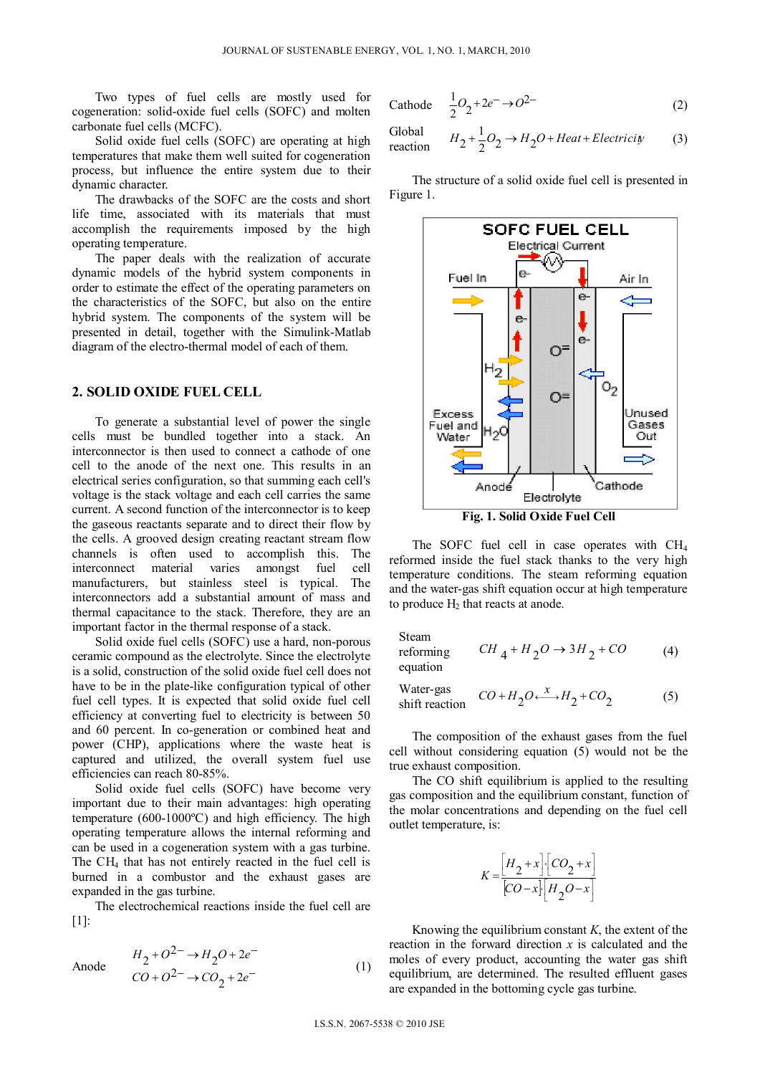Two types of fuel cells are mostly used for cogeneration: solid-oxide fuel cells (SOFC) and molten carbonate fuel cells (MCFC).

Solid oxide fuel cells (SOFC) are operating at high temperatures that make them well suited for cogeneration process, but influence the entire system due to their dynamic character.

The drawbacks of the SOFC are the costs and short life time, associated with its materials that must accomplish the requirements imposed by the high operating temperature.

The paper deals with the realization of accurate dynamic models of the hybrid system components in order to estimate the effect of the operating parameters on the characteristics of the SOFC, but also on the entire hybrid system. The components of the system will be presented in detail, together with the Simulink-Matlab diagram of the electro-thermal model of each of them.

# **2. SOLID OXIDE FUEL CELL**

To generate a substantial level of power the single cells must be bundled together into a stack. An interconnector is then used to connect a cathode of one cell to the anode of the next one. This results in an electrical series configuration, so that summing each cell's voltage is the stack voltage and each cell carries the same current. A second function of the interconnector is to keep the gaseous reactants separate and to direct their flow by the cells. A grooved design creating reactant stream flow channels is often used to accomplish this. The interconnect material varies amongst fuel cell manufacturers, but stainless steel is typical. The interconnectors add a substantial amount of mass and thermal capacitance to the stack. Therefore, they are an important factor in the thermal response of a stack.

Solid oxide fuel cells (SOFC) use a hard, non-porous ceramic compound as the electrolyte. Since the electrolyte is a solid, construction of the solid oxide fuel cell does not have to be in the plate-like configuration typical of other fuel cell types. It is expected that solid oxide fuel cell efficiency at converting fuel to electricity is between 50 and 60 percent. In co-generation or combined heat and power (CHP), applications where the waste heat is captured and utilized, the overall system fuel use efficiencies can reach 80-85%.

Solid oxide fuel cells (SOFC) have become very important due to their main advantages: high operating temperature (600-1000ºC) and high efficiency. The high operating temperature allows the internal reforming and can be used in a cogeneration system with a gas turbine. The CH4 that has not entirely reacted in the fuel cell is burned in a combustor and the exhaust gases are expanded in the gas turbine.

The electrochemical reactions inside the fuel cell are  $[1]$ :

Anode 
$$
\frac{H_2 + O^{2-} \to H_2O + 2e^-}{CO + O^{2-} \to CO_2 + 2e^-}
$$
 (1)

Cathode 
$$
\frac{1}{2}O_2 + 2e^- \rightarrow O^{2-}
$$
 (2)

Global reaction 
$$
H_2 + \frac{1}{2}O_2 \rightarrow H_2O + Heat + Electricity
$$
 (3)

The structure of a solid oxide fuel cell is presented in Figure 1.



**Fig. 1. Solid Oxide Fuel Cell** 

The SOFC fuel cell in case operates with CH<sub>4</sub> reformed inside the fuel stack thanks to the very high temperature conditions. The steam reforming equation and the water-gas shift equation occur at high temperature to produce  $H_2$  that reacts at anode.

Steam

reforming 
$$
CH_4 + H_2O \rightarrow 3H_2 + CO
$$
 (4)  
equation

Water-gas

Water-gas  
shift reaction 
$$
CO + H_2O \xrightarrow{X} H_2 + CO_2
$$
 (5)

The composition of the exhaust gases from the fuel cell without considering equation (5) would not be the true exhaust composition.

The CO shift equilibrium is applied to the resulting gas composition and the equilibrium constant, function of the molar concentrations and depending on the fuel cell outlet temperature, is:

$$
K = \frac{\left[H_2 + x\right] \cdot \left[CO_2 + x\right]}{\left[CO - x\right] \cdot \left[H_2O - x\right]}
$$

Knowing the equilibrium constant *K*, the extent of the reaction in the forward direction *x* is calculated and the moles of every product, accounting the water gas shift equilibrium, are determined. The resulted effluent gases are expanded in the bottoming cycle gas turbine.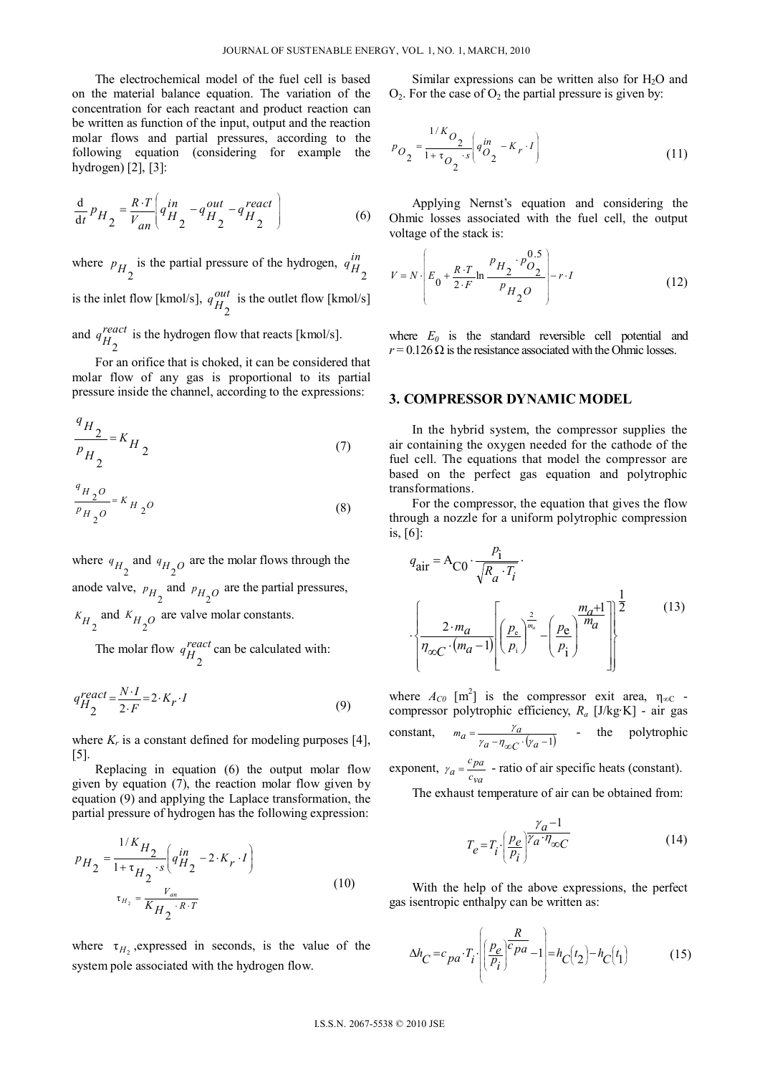The electrochemical model of the fuel cell is based on the material balance equation. The variation of the concentration for each reactant and product reaction can be written as function of the input, output and the reaction molar flows and partial pressures, according to the following equation (considering for example the hydrogen) [2], [3]:

$$
\frac{\mathrm{d}}{\mathrm{d}t}P_{H_2} = \frac{R \cdot T}{V_{an}} \left( q_{H_2}^{in} - q_{H_2}^{out} - q_{H_2}^{react} \right) \tag{6}
$$

where  $p_{H_2}$  is the partial pressure of the hydrogen,  $q_{H_2}^{in}$ is the inlet flow [kmol/s],  $q_{H_2}^{out}$  is the outlet flow [kmol/s] and  $q_{H_2}^{react}$ is the hydrogen flow that reacts [kmol/s].

For an orifice that is choked, it can be considered that molar flow of any gas is proportional to its partial pressure inside the channel, according to the expressions:

$$
\frac{q_{H_2}}{p_{H_2}} = K_{H_2}
$$
\n(7)

$$
\frac{q_{H_2O}}{p_{H_2O}} = K_{H_2O}
$$
\n(8)

where  $q_{H_2}$  and  $q_{H_2}$  are the molar flows through the anode valve,  $p_{H_2}$  and  $p_{H_2}$  are the partial pressures,  $K_{H_2}$  and  $K_{H_2O}$ are valve molar constants.

The molar flow  $q_{H_2}^{react}$ can be calculated with:

$$
q_{H_2}^{react} = \frac{N \cdot I}{2 \cdot F} = 2 \cdot K_r \cdot I \tag{9}
$$

where  $K_r$  is a constant defined for modeling purposes [4], [5].

Replacing in equation (6) the output molar flow given by equation (7), the reaction molar flow given by equation (9) and applying the Laplace transformation, the partial pressure of hydrogen has the following expression:

$$
p_{H_2} = \frac{1/K_{H_2}}{1 + \tau_{H_2} \cdot s} \left( q_{H_2}^{in} - 2 \cdot K_r \cdot I \right)
$$
  

$$
\tau_{H_2} = \frac{V_{an}}{K_{H_2} \cdot R \cdot T}
$$
 (10)

where  $\tau_H$ , expressed in seconds, is the value of the system pole associated with the hydrogen flow.

Similar expressions can be written also for  $H_2O$  and  $O_2$ . For the case of  $O_2$  the partial pressure is given by:

$$
p_{O_2} = \frac{1/K_{O_2}}{1 + \tau_{O_2} \cdot s} \left( q_{O_2}^{in} - K_r \cdot I \right)
$$
 (11)

Applying Nernst's equation and considering the Ohmic losses associated with the fuel cell, the output voltage of the stack is:

$$
V = N \cdot \left( E_0 + \frac{R \cdot T}{2 \cdot F} \ln \frac{P_{H_2} \cdot p_{O_2}^{0.5}}{P_{H_2} O} \right) - r \cdot I \tag{12}
$$

where  $E_0$  is the standard reversible cell potential and  $r = 0.126 \Omega$  is the resistance associated with the Ohmic losses.

# **3. COMPRESSOR DYNAMIC MODEL**

In the hybrid system, the compressor supplies the air containing the oxygen needed for the cathode of the fuel cell. The equations that model the compressor are based on the perfect gas equation and polytrophic transformations.

For the compressor, the equation that gives the flow through a nozzle for a uniform polytrophic compression is, [6]:

$$
q_{\text{air}} = A_{\text{CO}} \cdot \frac{p_{\text{i}}}{\sqrt{R_a \cdot T_i}} \cdot \frac{}{\left(\frac{p_{\text{e}}}{n_a - 1}\right)^{\frac{2}{m_a}} \left(\frac{p_{\text{e}}}{p_{\text{i}}}\right)^{\frac{2}{m_a} - \left(\frac{p_{\text{e}}}{p_{\text{i}}}\right)^{\frac{m_a + 1}{m_a}} \left(\frac{1}{p_{\text{i}}}\right)^{\frac{1}{m_a}}} \tag{13}
$$

where  $A_{C0}$  [m<sup>2</sup>] is the compressor exit area,  $\eta_{\infty C}$  compressor polytrophic efficiency, *Ra* [J/kg∙K] - air gas constant,  $m_a = \frac{\gamma_a}{\gamma_a - \eta_{\infty C} \cdot (\gamma_a - 1)}$  - the polytrophic exponent,  $\gamma_a = \frac{c_{pa}}{c_{va}}$  - ratio of air specific heats (constant).

The exhaust temperature of air can be obtained from:

$$
T_e = T_i \cdot \left(\frac{p_e}{p_i}\right)^{\gamma_a - 1} \tag{14}
$$

With the help of the above expressions, the perfect gas isentropic enthalpy can be written as:

$$
\Delta h_C = c_{pa} \cdot T_i \cdot \left( \left( \frac{p_e}{p_i} \right)^c \frac{R}{p_a} - 1 \right) = h_C(t_2) - h_C(t_1) \tag{15}
$$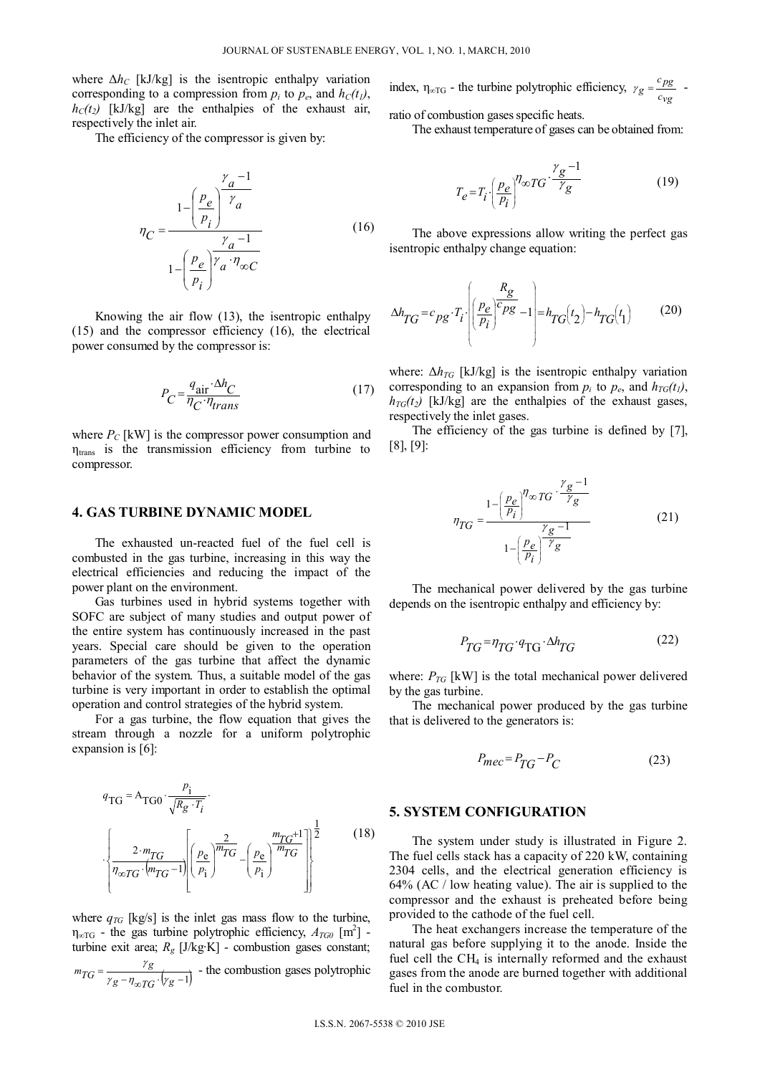where  $\Delta h_C$  [kJ/kg] is the isentropic enthalpy variation corresponding to a compression from  $p_i$  to  $p_e$ , and  $h_C(t_i)$ ,  $h_C(t_2)$  [kJ/kg] are the enthalpies of the exhaust air, respectively the inlet air.

The efficiency of the compressor is given by:

$$
\eta_C = \frac{1 - \left(\frac{p_e}{p_i}\right)^{\gamma} \frac{\gamma_a - 1}{\gamma_a}}{1 - \left(\frac{p_e}{p_i}\right)^{\gamma} \frac{\gamma_a - 1}{\gamma_a \cdot \eta_{\infty C}}}
$$
(16)

Knowing the air flow (13), the isentropic enthalpy (15) and the compressor efficiency (16), the electrical power consumed by the compressor is:

$$
P_C = \frac{q_{\text{air}} \cdot \Delta h_C}{\eta_C \cdot \eta_{trans}}\tag{17}
$$

where  $P_C$  [kW] is the compressor power consumption and  $\eta_{trans}$  is the transmission efficiency from turbine to compressor.

#### **4. GAS TURBINE DYNAMIC MODEL**

The exhausted un-reacted fuel of the fuel cell is combusted in the gas turbine, increasing in this way the electrical efficiencies and reducing the impact of the power plant on the environment.

Gas turbines used in hybrid systems together with SOFC are subject of many studies and output power of the entire system has continuously increased in the past years. Special care should be given to the operation parameters of the gas turbine that affect the dynamic behavior of the system. Thus, a suitable model of the gas turbine is very important in order to establish the optimal operation and control strategies of the hybrid system.

For a gas turbine, the flow equation that gives the stream through a nozzle for a uniform polytrophic expansion is [6]:

$$
q_{TG} = A_{TG0} \cdot \frac{p_i}{\sqrt{R_g \cdot T_i}}.
$$

$$
\cdot \left\{ \frac{2 \cdot m_{TG}}{\eta_{\infty TG} \cdot (m_{TG} - 1)} \left[ \left( \frac{p_e}{p_i} \right)^{\frac{2}{m_{TG}}} - \left( \frac{p_e}{p_i} \right)^{\frac{m_{TG} + 1}{m_{TG}}} \right] \right\}^{\frac{1}{2}}
$$
(18)

where  $q_{TG}$  [kg/s] is the inlet gas mass flow to the turbine,  $\eta_{\infty}$  - the gas turbine polytrophic efficiency,  $A_{TG0}$  [m<sup>2</sup>] turbine exit area; *Rg* [J/kg∙K] - combustion gases constant;

$$
m_{TG} = \frac{\gamma_g}{\gamma_g - \eta_{\infty TG} \cdot (\gamma_g - 1)}
$$
 - the combustion gases polytrophic

index,  $\eta_{\infty}$  - the turbine polytrophic efficiency,  $\gamma_g = \frac{c_{pg}}{c_{vg}}$  ratio of combustion gases specific heats.

The exhaust temperature of gases can be obtained from:

$$
T_e = T_i \left(\frac{p_e}{p_i}\right)^{\eta_\infty} T G \cdot \frac{\gamma_g - 1}{\gamma_g} \tag{19}
$$

The above expressions allow writing the perfect gas isentropic enthalpy change equation:

$$
\Delta h_{TG} = c_{pg} \cdot T_i \cdot \left( \left( \frac{R_g}{p_i} \right)^c \frac{R_g}{p_g} - 1 \right) = h_{TG} \left( t_2 \right) - h_{TG} \left( t_1 \right) \tag{20}
$$

where:  $\Delta h_{TG}$  [kJ/kg] is the isentropic enthalpy variation corresponding to an expansion from  $p_i$  to  $p_e$ , and  $h_{TG}(t_i)$ ,  $h_{TG}(t_2)$  [kJ/kg] are the enthalpies of the exhaust gases, respectively the inlet gases.

The efficiency of the gas turbine is defined by [7], [8], [9]:

$$
\eta_{TG} = \frac{1 - \left(\frac{p_e}{p_i}\right)^{\eta_{\infty}TG} \cdot \frac{\gamma_g - 1}{\gamma_g}}{1 - \left(\frac{p_e}{p_i}\right)^{\eta_{\infty}T} \gamma_g}
$$
(21)

The mechanical power delivered by the gas turbine depends on the isentropic enthalpy and efficiency by:

$$
P_{TG} = \eta_{TG} \cdot q_{TG} \cdot \Delta h_{TG} \tag{22}
$$

where:  $P_{TG}$  [kW] is the total mechanical power delivered by the gas turbine.

The mechanical power produced by the gas turbine that is delivered to the generators is:

$$
P_{mec} = P_{TG} - P_C \tag{23}
$$

#### **5. SYSTEM CONFIGURATION**

The system under study is illustrated in Figure 2. The fuel cells stack has a capacity of 220 kW, containing 2304 cells, and the electrical generation efficiency is 64% (AC / low heating value). The air is supplied to the compressor and the exhaust is preheated before being provided to the cathode of the fuel cell.

The heat exchangers increase the temperature of the natural gas before supplying it to the anode. Inside the fuel cell the  $CH<sub>4</sub>$  is internally reformed and the exhaust gases from the anode are burned together with additional fuel in the combustor.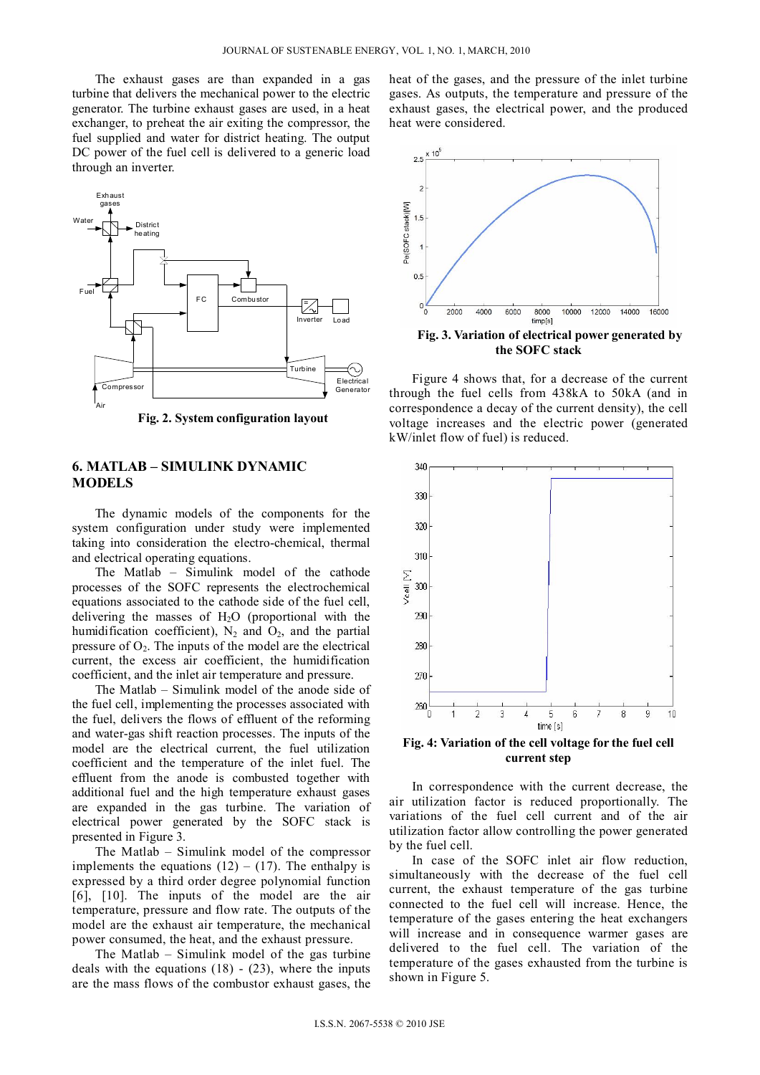The exhaust gases are than expanded in a gas turbine that delivers the mechanical power to the electric generator. The turbine exhaust gases are used, in a heat exchanger, to preheat the air exiting the compressor, the fuel supplied and water for district heating. The output DC power of the fuel cell is delivered to a generic load through an inverter.



**Fig. 2. System configuration layout** 

# **6. MATLAB – SIMULINK DYNAMIC MODELS**

The dynamic models of the components for the system configuration under study were implemented taking into consideration the electro-chemical, thermal and electrical operating equations.

The Matlab – Simulink model of the cathode processes of the SOFC represents the electrochemical equations associated to the cathode side of the fuel cell, delivering the masses of  $H<sub>2</sub>O$  (proportional with the humidification coefficient),  $N_2$  and  $O_2$ , and the partial pressure of  $O<sub>2</sub>$ . The inputs of the model are the electrical current, the excess air coefficient, the humidification coefficient, and the inlet air temperature and pressure.

The Matlab – Simulink model of the anode side of the fuel cell, implementing the processes associated with the fuel, delivers the flows of effluent of the reforming and water-gas shift reaction processes. The inputs of the model are the electrical current, the fuel utilization coefficient and the temperature of the inlet fuel. The effluent from the anode is combusted together with additional fuel and the high temperature exhaust gases are expanded in the gas turbine. The variation of electrical power generated by the SOFC stack is presented in Figure 3.

The Matlab – Simulink model of the compressor implements the equations  $(12) - (17)$ . The enthalpy is expressed by a third order degree polynomial function [6], [10]. The inputs of the model are the air temperature, pressure and flow rate. The outputs of the model are the exhaust air temperature, the mechanical power consumed, the heat, and the exhaust pressure.

The Matlab – Simulink model of the gas turbine deals with the equations  $(18) - (23)$ , where the inputs are the mass flows of the combustor exhaust gases, the

heat of the gases, and the pressure of the inlet turbine gases. As outputs, the temperature and pressure of the exhaust gases, the electrical power, and the produced heat were considered.



Figure 4 shows that, for a decrease of the current through the fuel cells from 438kA to 50kA (and in correspondence a decay of the current density), the cell voltage increases and the electric power (generated kW/inlet flow of fuel) is reduced.



**Fig. 4: Variation of the cell voltage for the fuel cell current step** 

In correspondence with the current decrease, the air utilization factor is reduced proportionally. The variations of the fuel cell current and of the air utilization factor allow controlling the power generated by the fuel cell.

In case of the SOFC inlet air flow reduction, simultaneously with the decrease of the fuel cell current, the exhaust temperature of the gas turbine connected to the fuel cell will increase. Hence, the temperature of the gases entering the heat exchangers will increase and in consequence warmer gases are delivered to the fuel cell. The variation of the temperature of the gases exhausted from the turbine is shown in Figure 5.